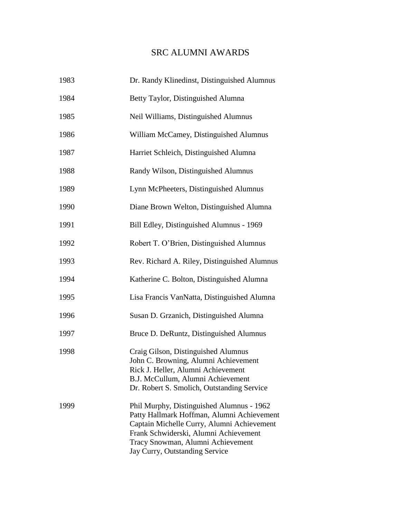## SRC ALUMNI AWARDS

| 1983 | Dr. Randy Klinedinst, Distinguished Alumnus                                                                                                                                                                                                           |
|------|-------------------------------------------------------------------------------------------------------------------------------------------------------------------------------------------------------------------------------------------------------|
| 1984 | Betty Taylor, Distinguished Alumna                                                                                                                                                                                                                    |
| 1985 | Neil Williams, Distinguished Alumnus                                                                                                                                                                                                                  |
| 1986 | William McCamey, Distinguished Alumnus                                                                                                                                                                                                                |
| 1987 | Harriet Schleich, Distinguished Alumna                                                                                                                                                                                                                |
| 1988 | Randy Wilson, Distinguished Alumnus                                                                                                                                                                                                                   |
| 1989 | Lynn McPheeters, Distinguished Alumnus                                                                                                                                                                                                                |
| 1990 | Diane Brown Welton, Distinguished Alumna                                                                                                                                                                                                              |
| 1991 | Bill Edley, Distinguished Alumnus - 1969                                                                                                                                                                                                              |
| 1992 | Robert T. O'Brien, Distinguished Alumnus                                                                                                                                                                                                              |
| 1993 | Rev. Richard A. Riley, Distinguished Alumnus                                                                                                                                                                                                          |
| 1994 | Katherine C. Bolton, Distinguished Alumna                                                                                                                                                                                                             |
| 1995 | Lisa Francis VanNatta, Distinguished Alumna                                                                                                                                                                                                           |
| 1996 | Susan D. Grzanich, Distinguished Alumna                                                                                                                                                                                                               |
| 1997 | Bruce D. DeRuntz, Distinguished Alumnus                                                                                                                                                                                                               |
| 1998 | Craig Gilson, Distinguished Alumnus<br>John C. Browning, Alumni Achievement<br>Rick J. Heller, Alumni Achievement<br>B.J. McCullum, Alumni Achievement<br>Dr. Robert S. Smolich, Outstanding Service                                                  |
| 1999 | Phil Murphy, Distinguished Alumnus - 1962<br>Patty Hallmark Hoffman, Alumni Achievement<br>Captain Michelle Curry, Alumni Achievement<br>Frank Schwiderski, Alumni Achievement<br>Tracy Snowman, Alumni Achievement<br>Jay Curry, Outstanding Service |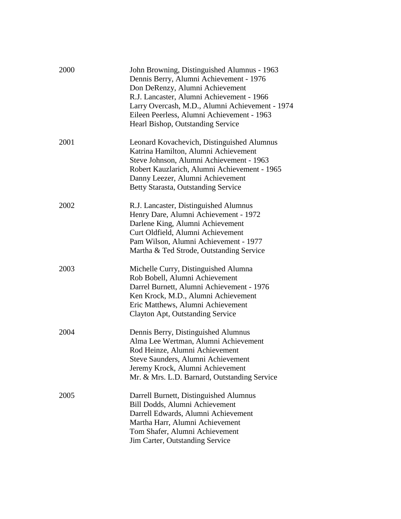| 2000 | John Browning, Distinguished Alumnus - 1963<br>Dennis Berry, Alumni Achievement - 1976<br>Don DeRenzy, Alumni Achievement<br>R.J. Lancaster, Alumni Achievement - 1966<br>Larry Overcash, M.D., Alumni Achievement - 1974<br>Eileen Peerless, Alumni Achievement - 1963<br>Hearl Bishop, Outstanding Service |
|------|--------------------------------------------------------------------------------------------------------------------------------------------------------------------------------------------------------------------------------------------------------------------------------------------------------------|
| 2001 | Leonard Kovachevich, Distinguished Alumnus<br>Katrina Hamilton, Alumni Achievement<br>Steve Johnson, Alumni Achievement - 1963<br>Robert Kauzlarich, Alumni Achievement - 1965<br>Danny Leezer, Alumni Achievement<br>Betty Starasta, Outstanding Service                                                    |
| 2002 | R.J. Lancaster, Distinguished Alumnus<br>Henry Dare, Alumni Achievement - 1972<br>Darlene King, Alumni Achievement<br>Curt Oldfield, Alumni Achievement<br>Pam Wilson, Alumni Achievement - 1977<br>Martha & Ted Strode, Outstanding Service                                                                 |
| 2003 | Michelle Curry, Distinguished Alumna<br>Rob Bobell, Alumni Achievement<br>Darrel Burnett, Alumni Achievement - 1976<br>Ken Krock, M.D., Alumni Achievement<br>Eric Matthews, Alumni Achievement<br>Clayton Apt, Outstanding Service                                                                          |
| 2004 | Dennis Berry, Distinguished Alumnus<br>Alma Lee Wertman, Alumni Achievement<br>Rod Heinze, Alumni Achievement<br>Steve Saunders, Alumni Achievement<br>Jeremy Krock, Alumni Achievement<br>Mr. & Mrs. L.D. Barnard, Outstanding Service                                                                      |
| 2005 | Darrell Burnett, Distinguished Alumnus<br>Bill Dodds, Alumni Achievement<br>Darrell Edwards, Alumni Achievement<br>Martha Harr, Alumni Achievement<br>Tom Shafer, Alumni Achievement<br>Jim Carter, Outstanding Service                                                                                      |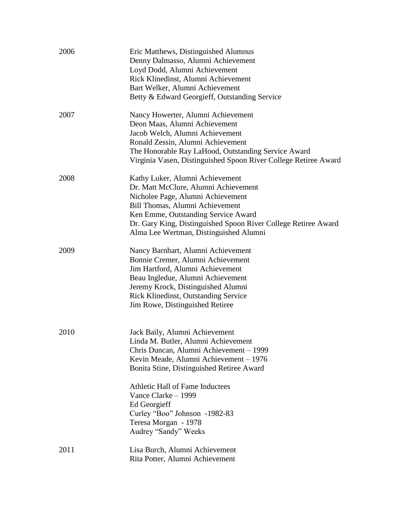| 2006 | Eric Matthews, Distinguished Alumnus<br>Denny Dalmasso, Alumni Achievement<br>Loyd Dodd, Alumni Achievement<br>Rick Klinedinst, Alumni Achievement<br>Bart Welker, Alumni Achievement<br>Betty & Edward Georgieff, Outstanding Service                                                             |
|------|----------------------------------------------------------------------------------------------------------------------------------------------------------------------------------------------------------------------------------------------------------------------------------------------------|
| 2007 | Nancy Howerter, Alumni Achievement<br>Deon Maas, Alumni Achievement<br>Jacob Welch, Alumni Achievement<br>Ronald Zessin, Alumni Achievement<br>The Honorable Ray LaHood, Outstanding Service Award<br>Virginia Vasen, Distinguished Spoon River College Retiree Award                              |
| 2008 | Kathy Luker, Alumni Achievement<br>Dr. Matt McClure, Alumni Achievement<br>Nicholee Page, Alumni Achievement<br>Bill Thomas, Alumni Achievement<br>Ken Emme, Outstanding Service Award<br>Dr. Gary King, Distinguished Spoon River College Retiree Award<br>Alma Lee Wertman, Distinguished Alumni |
| 2009 | Nancy Barnhart, Alumni Achievement<br>Bonnie Cremer, Alumni Achievement<br>Jim Hartford, Alumni Achievement<br>Beau Ingledue, Alumni Achievement<br>Jeremy Krock, Distinguished Alumni<br><b>Rick Klinedinst, Outstanding Service</b><br>Jim Rowe, Distinguished Retiree                           |
| 2010 | Jack Baily, Alumni Achievement<br>Linda M. Butler, Alumni Achievement<br>Chris Duncan, Alumni Achievement – 1999<br>Kevin Meade, Alumni Achievement – 1976<br>Bonita Stine, Distinguished Retiree Award<br><b>Athletic Hall of Fame Inductees</b><br>Vance Clarke - 1999<br>Ed Georgieff           |
|      | Curley "Boo" Johnson -1982-83<br>Teresa Morgan - 1978<br>Audrey "Sandy" Weeks                                                                                                                                                                                                                      |
| 2011 | Lisa Burch, Alumni Achievement<br>Rita Potter, Alumni Achievement                                                                                                                                                                                                                                  |